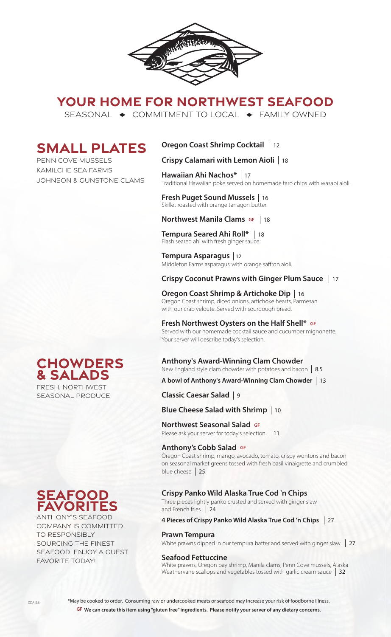

# **YOUR HOME FOR NORTHWEST SEAFOOD**

SEASONAL  $\rightarrow$  COMMITMENT TO LOCAL  $\rightarrow$  FAMILY OWNED

# **SMALL PLATES**

PENN COVE MUSSELS KAMILCHE SEA FARMS JOHNSON & GUNSTONE CLAMS

# **Oregon Coast Shrimp Cocktail**  12

## **Crispy Calamari with Lemon Aioli**  18

**Hawaiian Ahi Nachos\***  17 Traditional Hawaiian poke served on homemade taro chips with wasabi aioli.

#### **Fresh Puget Sound Mussels**  16 Skillet roasted with orange tarragon butter.

#### **Northwest Manila Clams GF**  18

**Tempura Seared Ahi Roll\***  18 Flash seared ahi with fresh ginger sauce.

**Tempura Asparagus**  12 Middleton Farms asparagus with orange saffron aioli.

# **Crispy Coconut Prawns with Ginger Plum Sauce**  17

**Oregon Coast Shrimp & Artichoke Dip**  16 Oregon Coast shrimp, diced onions, artichoke hearts, Parmesan with our crab veloute. Served with sourdough bread.

#### **Fresh Northwest Oysters on the Half Shell\* GF**

Served with our homemade cocktail sauce and cucumber mignonette. Your server will describe today's selection.

#### **Anthony's Award-Winning Clam Chowder**

New England style clam chowder with potatoes and bacon 8.5

**A bowl of Anthony's Award-Winning Clam Chowder**  13

### **Classic Caesar Salad**  9

## **Blue Cheese Salad with Shrimp**  10

**Northwest Seasonal Salad GF**

**TOI LITWEST SEASOTIAT SATAUT SPREAD FOR SERVICE SERVICE SERVICE SERVICE SERVICE SERVICE SERVICE SERVICE SERVICE** 

#### **Anthony's Cobb Salad GF**

Oregon Coast shrimp, mango, avocado, tomato, crispy wontons and bacon on seasonal market greens tossed with fresh basil vinaigrette and crumbled blue cheese 25

#### **Crispy Panko Wild Alaska True Cod 'n Chips**

Three pieces lightly panko crusted and served with ginger slaw and French fries 24

#### **4 Pieces of Crispy Panko Wild Alaska True Cod 'n Chips**  27

#### **Prawn Tempura**

White prawns dipped in our tempura batter and served with ginger slaw 27

#### **Seafood Fettuccine**

White prawns, Oregon bay shrimp, Manila clams, Penn Cove mussels, Alaska Weathervane scallops and vegetables tossed with garlic cream sauce 32



FRESH, NORTHWEST SEASONAL PRODUCE



COMPANY IS COMMITTED TO RESPONSIBLY SOURCING THE FINEST SEAFOOD. ENJOY A GUEST FAVORITE TODAY!

\*May be cooked to order. Consuming raw or undercooked meats or seafood may increase your risk of foodborne illness. **GF We can create this item using "gluten free" ingredients. Please notify your server of any dietary concerns**.